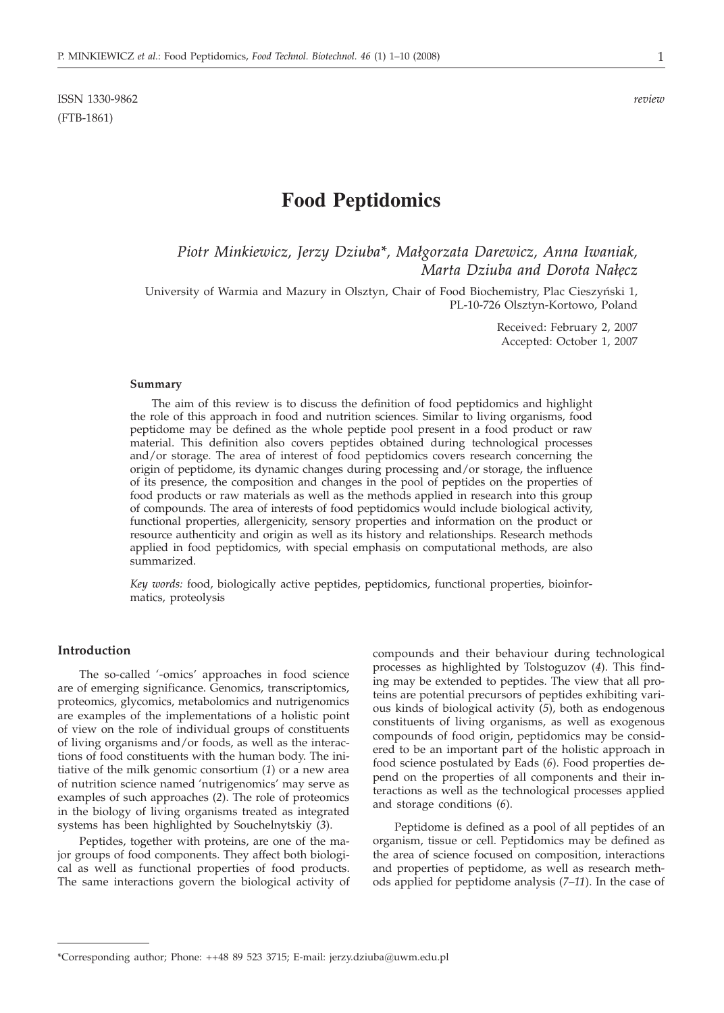ISSN 1330-9862 *review* (FTB-1861)

# **Food Peptidomics**

*Piotr Minkiewicz, Jerzy Dziuba\*, Mal/gorzata Darewicz, Anna Iwaniak, Marta Dziuba and Dorota Nałęcz* 

University of Warmia and Mazury in Olsztyn, Chair of Food Biochemistry, Plac Cieszyński 1, PL-10-726 Olsztyn-Kortowo, Poland

> Received: February 2, 2007 Accepted: October 1, 2007

#### **Summary**

The aim of this review is to discuss the definition of food peptidomics and highlight the role of this approach in food and nutrition sciences. Similar to living organisms, food peptidome may be defined as the whole peptide pool present in a food product or raw material. This definition also covers peptides obtained during technological processes and/or storage. The area of interest of food peptidomics covers research concerning the origin of peptidome, its dynamic changes during processing and/or storage, the influence of its presence, the composition and changes in the pool of peptides on the properties of food products or raw materials as well as the methods applied in research into this group of compounds. The area of interests of food peptidomics would include biological activity, functional properties, allergenicity, sensory properties and information on the product or resource authenticity and origin as well as its history and relationships. Research methods applied in food peptidomics, with special emphasis on computational methods, are also summarized.

*Key words:* food, biologically active peptides, peptidomics, functional properties, bioinformatics, proteolysis

#### **Introduction**

The so-called '-omics' approaches in food science are of emerging significance. Genomics, transcriptomics, proteomics, glycomics, metabolomics and nutrigenomics are examples of the implementations of a holistic point of view on the role of individual groups of constituents of living organisms and/or foods, as well as the interactions of food constituents with the human body. The initiative of the milk genomic consortium (*1*) or a new area of nutrition science named 'nutrigenomics' may serve as examples of such approaches (*2*). The role of proteomics in the biology of living organisms treated as integrated systems has been highlighted by Souchelnytskiy (*3*).

Peptides, together with proteins, are one of the major groups of food components. They affect both biological as well as functional properties of food products. The same interactions govern the biological activity of compounds and their behaviour during technological processes as highlighted by Tolstoguzov (*4*). This finding may be extended to peptides. The view that all proteins are potential precursors of peptides exhibiting various kinds of biological activity (*5*), both as endogenous constituents of living organisms, as well as exogenous compounds of food origin, peptidomics may be considered to be an important part of the holistic approach in food science postulated by Eads (*6*). Food properties depend on the properties of all components and their interactions as well as the technological processes applied and storage conditions (*6*).

Peptidome is defined as a pool of all peptides of an organism, tissue or cell. Peptidomics may be defined as the area of science focused on composition, interactions and properties of peptidome, as well as research methods applied for peptidome analysis (*7–11*). In the case of

<sup>\*</sup>Corresponding author; Phone: ++48 89 523 3715; E-mail: jerzy.dziuba*@*uwm.edu.pl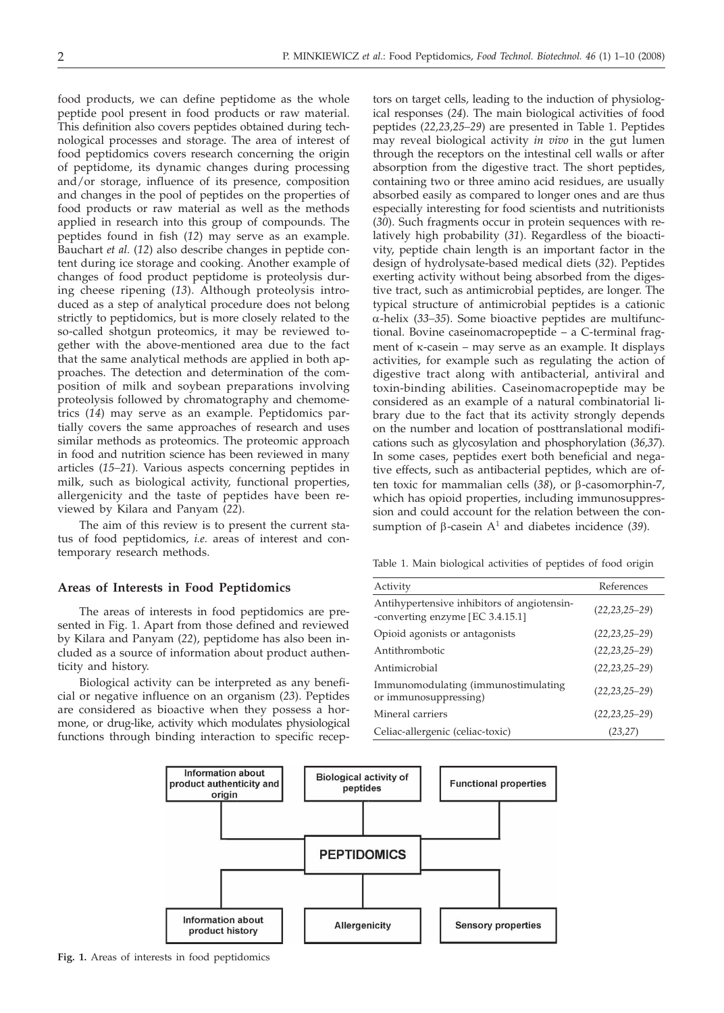food products, we can define peptidome as the whole peptide pool present in food products or raw material. This definition also covers peptides obtained during technological processes and storage. The area of interest of food peptidomics covers research concerning the origin of peptidome, its dynamic changes during processing and/or storage, influence of its presence, composition and changes in the pool of peptides on the properties of food products or raw material as well as the methods applied in research into this group of compounds. The peptides found in fish (*12*) may serve as an example. Bauchart *et al.* (*12*) also describe changes in peptide content during ice storage and cooking. Another example of changes of food product peptidome is proteolysis during cheese ripening (*13*). Although proteolysis introduced as a step of analytical procedure does not belong strictly to peptidomics, but is more closely related to the so-called shotgun proteomics, it may be reviewed together with the above-mentioned area due to the fact that the same analytical methods are applied in both approaches. The detection and determination of the composition of milk and soybean preparations involving proteolysis followed by chromatography and chemometrics (*14*) may serve as an example. Peptidomics partially covers the same approaches of research and uses similar methods as proteomics. The proteomic approach in food and nutrition science has been reviewed in many articles (*15–21*). Various aspects concerning peptides in milk, such as biological activity, functional properties, allergenicity and the taste of peptides have been reviewed by Kilara and Panyam (*22*).

The aim of this review is to present the current status of food peptidomics, *i.e.* areas of interest and contemporary research methods.

# **Areas of Interests in Food Peptidomics**

The areas of interests in food peptidomics are presented in Fig. 1. Apart from those defined and reviewed by Kilara and Panyam (*22*), peptidome has also been included as a source of information about product authenticity and history.

Biological activity can be interpreted as any beneficial or negative influence on an organism (*23*). Peptides are considered as bioactive when they possess a hormone, or drug-like, activity which modulates physiological functions through binding interaction to specific recep-

tors on target cells, leading to the induction of physiological responses (*24*). The main biological activities of food peptides (*22,23,25–29*) are presented in Table 1. Peptides may reveal biological activity *in vivo* in the gut lumen through the receptors on the intestinal cell walls or after absorption from the digestive tract. The short peptides, containing two or three amino acid residues, are usually absorbed easily as compared to longer ones and are thus especially interesting for food scientists and nutritionists (*30*). Such fragments occur in protein sequences with relatively high probability (*31*). Regardless of the bioactivity, peptide chain length is an important factor in the design of hydrolysate-based medical diets (*32*). Peptides exerting activity without being absorbed from the digestive tract, such as antimicrobial peptides, are longer. The typical structure of antimicrobial peptides is a cationic a-helix (*33–35*). Some bioactive peptides are multifunctional. Bovine caseinomacropeptide – a C-terminal fragment of k-casein – may serve as an example. It displays activities, for example such as regulating the action of digestive tract along with antibacterial, antiviral and toxin-binding abilities. Caseinomacropeptide may be considered as an example of a natural combinatorial library due to the fact that its activity strongly depends on the number and location of posttranslational modifications such as glycosylation and phosphorylation (*36,37*). In some cases, peptides exert both beneficial and negative effects, such as antibacterial peptides, which are often toxic for mammalian cells (38), or β-casomorphin-7, which has opioid properties, including immunosuppression and could account for the relation between the consumption of  $\beta$ -casein  $A^1$  and diabetes incidence (39).

Table 1. Main biological activities of peptides of food origin

| Activity                                                                        | References          |
|---------------------------------------------------------------------------------|---------------------|
| Antihypertensive inhibitors of angiotensin-<br>-converting enzyme [EC 3.4.15.1] | $(22, 23, 25 - 29)$ |
| Opioid agonists or antagonists                                                  | $(22, 23, 25 - 29)$ |
| Antithrombotic                                                                  | $(22, 23, 25 - 29)$ |
| Antimicrobial                                                                   | $(22, 23, 25 - 29)$ |
| Immunomodulating (immunostimulating<br>or immunosuppressing)                    | $(22, 23, 25 - 29)$ |
| Mineral carriers                                                                | $(22, 23, 25 - 29)$ |
| Celiac-allergenic (celiac-toxic)                                                | (23, 27)            |



**Fig. 1.** Areas of interests in food peptidomics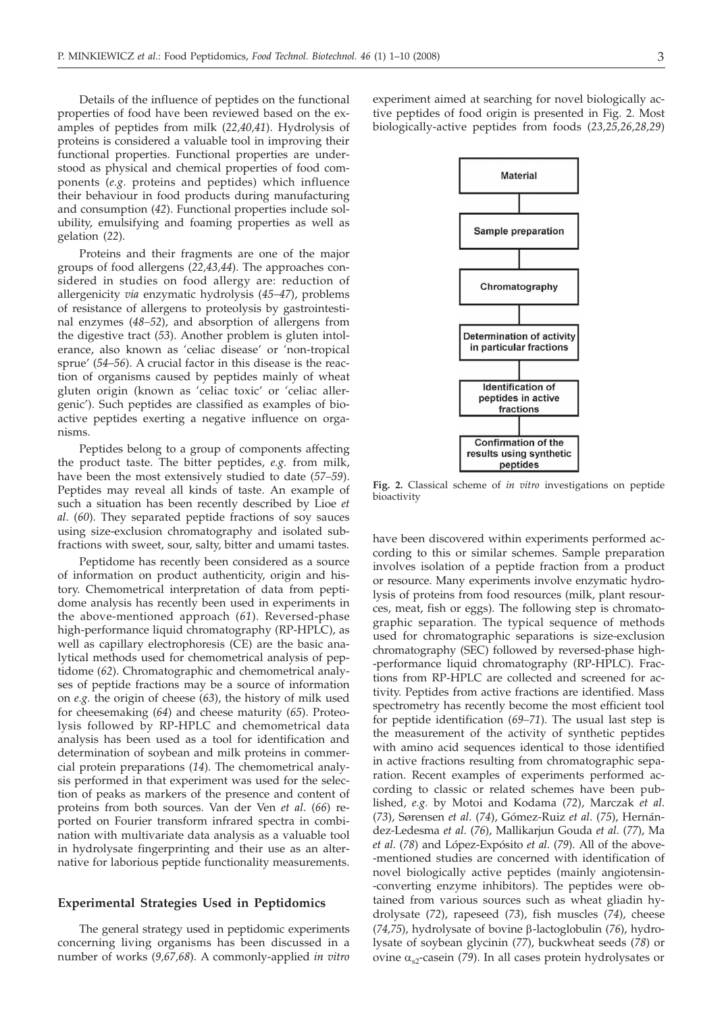Details of the influence of peptides on the functional properties of food have been reviewed based on the examples of peptides from milk (*22,40,41*). Hydrolysis of proteins is considered a valuable tool in improving their functional properties. Functional properties are understood as physical and chemical properties of food components (*e.g.* proteins and peptides) which influence their behaviour in food products during manufacturing and consumption (*42*). Functional properties include solubility, emulsifying and foaming properties as well as gelation (*22*).

Proteins and their fragments are one of the major groups of food allergens (*22,43,44*). The approaches considered in studies on food allergy are: reduction of allergenicity *via* enzymatic hydrolysis (*45–47*), problems of resistance of allergens to proteolysis by gastrointestinal enzymes (*48–52*), and absorption of allergens from the digestive tract (*53*). Another problem is gluten intolerance, also known as 'celiac disease' or 'non-tropical sprue' (*54–56*). A crucial factor in this disease is the reaction of organisms caused by peptides mainly of wheat gluten origin (known as 'celiac toxic' or 'celiac allergenic'). Such peptides are classified as examples of bioactive peptides exerting a negative influence on organisms.

Peptides belong to a group of components affecting the product taste. The bitter peptides, *e.g.* from milk, have been the most extensively studied to date (*57–59*). Peptides may reveal all kinds of taste. An example of such a situation has been recently described by Lioe *et al*. (*60*). They separated peptide fractions of soy sauces using size-exclusion chromatography and isolated subfractions with sweet, sour, salty, bitter and umami tastes.

Peptidome has recently been considered as a source of information on product authenticity, origin and history. Chemometrical interpretation of data from peptidome analysis has recently been used in experiments in the above-mentioned approach (*61*). Reversed-phase high-performance liquid chromatography (RP-HPLC), as well as capillary electrophoresis (CE) are the basic analytical methods used for chemometrical analysis of peptidome (*62*). Chromatographic and chemometrical analyses of peptide fractions may be a source of information on *e.g.* the origin of cheese (*63*), the history of milk used for cheesemaking (*64*) and cheese maturity (*65*). Proteolysis followed by RP-HPLC and chemometrical data analysis has been used as a tool for identification and determination of soybean and milk proteins in commercial protein preparations (*14*). The chemometrical analysis performed in that experiment was used for the selection of peaks as markers of the presence and content of proteins from both sources. Van der Ven *et al*. (*66*) reported on Fourier transform infrared spectra in combination with multivariate data analysis as a valuable tool in hydrolysate fingerprinting and their use as an alternative for laborious peptide functionality measurements.

# **Experimental Strategies Used in Peptidomics**

The general strategy used in peptidomic experiments concerning living organisms has been discussed in a number of works (*9,67,68*). A commonly-applied *in vitro* experiment aimed at searching for novel biologically active peptides of food origin is presented in Fig. 2. Most biologically-active peptides from foods (*23,25,26,28,29*)



**Fig. 2.** Classical scheme of *in vitro* investigations on peptide bioactivity

have been discovered within experiments performed according to this or similar schemes. Sample preparation involves isolation of a peptide fraction from a product or resource. Many experiments involve enzymatic hydrolysis of proteins from food resources (milk, plant resources, meat, fish or eggs). The following step is chromatographic separation. The typical sequence of methods used for chromatographic separations is size-exclusion chromatography (SEC) followed by reversed-phase high- -performance liquid chromatography (RP-HPLC). Fractions from RP-HPLC are collected and screened for activity. Peptides from active fractions are identified. Mass spectrometry has recently become the most efficient tool for peptide identification (*69–71*). The usual last step is the measurement of the activity of synthetic peptides with amino acid sequences identical to those identified in active fractions resulting from chromatographic separation. Recent examples of experiments performed according to classic or related schemes have been published, *e.g.* by Motoi and Kodama (*72*), Marczak *et al*. (*73*), Sørensen *et al*. (*74*), Gómez-Ruiz *et al*. (*75*), Hernández-Ledesma *et al*. (*76*), Mallikarjun Gouda *et al*. (*77*), Ma *et al*. (*78*) and López-Expósito *et al*. (*79*). All of the above- -mentioned studies are concerned with identification of novel biologically active peptides (mainly angiotensin- -converting enzyme inhibitors). The peptides were obtained from various sources such as wheat gliadin hydrolysate (*72*), rapeseed (*73*), fish muscles (*74*), cheese ( $74,75$ ), hydrolysate of bovine  $\beta$ -lactoglobulin ( $76$ ), hydrolysate of soybean glycinin (*77*), buckwheat seeds (*78*) or ovine  $\alpha_{s2}$ -casein (79). In all cases protein hydrolysates or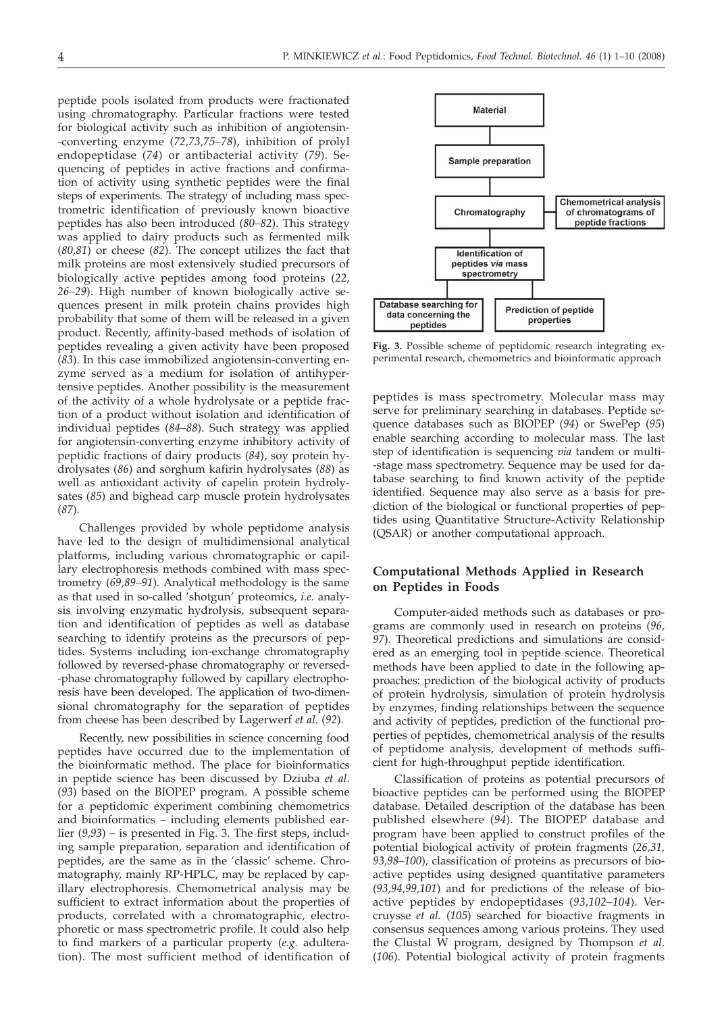peptide pools isolated from products were fractionated using chromatography. Particular fractions were tested for biological activity such as inhibition of angiotensin- -converting enzyme (*72,73,75–78*), inhibition of prolyl endopeptidase (*74*) or antibacterial activity (*79*). Sequencing of peptides in active fractions and confirmation of activity using synthetic peptides were the final steps of experiments. The strategy of including mass spectrometric identification of previously known bioactive peptides has also been introduced (*80–82*). This strategy was applied to dairy products such as fermented milk (*80,81*) or cheese (*82*). The concept utilizes the fact that milk proteins are most extensively studied precursors of biologically active peptides among food proteins (*22, 26–29*). High number of known biologically active sequences present in milk protein chains provides high probability that some of them will be released in a given product. Recently, affinity-based methods of isolation of peptides revealing a given activity have been proposed (*83*). In this case immobilized angiotensin-converting enzyme served as a medium for isolation of antihypertensive peptides. Another possibility is the measurement of the activity of a whole hydrolysate or a peptide fraction of a product without isolation and identification of individual peptides (*84–88*). Such strategy was applied for angiotensin-converting enzyme inhibitory activity of peptidic fractions of dairy products (*84*), soy protein hydrolysates (*86*) and sorghum kafirin hydrolysates (*88*) as well as antioxidant activity of capelin protein hydrolysates (*85*) and bighead carp muscle protein hydrolysates (*87*).

Challenges provided by whole peptidome analysis have led to the design of multidimensional analytical platforms, including various chromatographic or capillary electrophoresis methods combined with mass spectrometry (*69,89–91*). Analytical methodology is the same as that used in so-called 'shotgun' proteomics, *i.e.* analysis involving enzymatic hydrolysis, subsequent separation and identification of peptides as well as database searching to identify proteins as the precursors of peptides. Systems including ion-exchange chromatography followed by reversed-phase chromatography or reversed- -phase chromatography followed by capillary electrophoresis have been developed. The application of two-dimensional chromatography for the separation of peptides from cheese has been described by Lagerwerf *et al*. (*92*).

Recently, new possibilities in science concerning food peptides have occurred due to the implementation of the bioinformatic method. The place for bioinformatics in peptide science has been discussed by Dziuba *et al*. (*93*) based on the BIOPEP program. A possible scheme for a peptidomic experiment combining chemometrics and bioinformatics – including elements published earlier (*9,93*) *–* is presented in Fig. 3. The first steps, including sample preparation, separation and identification of peptides, are the same as in the 'classic' scheme. Chromatography, mainly RP-HPLC, may be replaced by capillary electrophoresis. Chemometrical analysis may be sufficient to extract information about the properties of products, correlated with a chromatographic, electrophoretic or mass spectrometric profile. It could also help to find markers of a particular property (*e.g.* adulteration). The most sufficient method of identification of



**Fig. 3.** Possible scheme of peptidomic research integrating experimental research, chemometrics and bioinformatic approach

peptides is mass spectrometry. Molecular mass may serve for preliminary searching in databases. Peptide sequence databases such as BIOPEP (*94*) or SwePep (*95*) enable searching according to molecular mass. The last step of identification is sequencing *via* tandem or multi- -stage mass spectrometry. Sequence may be used for database searching to find known activity of the peptide identified. Sequence may also serve as a basis for prediction of the biological or functional properties of peptides using Quantitative Structure-Activity Relationship (QSAR) or another computational approach.

# **Computational Methods Applied in Research on Peptides in Foods**

Computer-aided methods such as databases or programs are commonly used in research on proteins (*96, 97*). Theoretical predictions and simulations are considered as an emerging tool in peptide science. Theoretical methods have been applied to date in the following approaches: prediction of the biological activity of products of protein hydrolysis, simulation of protein hydrolysis by enzymes, finding relationships between the sequence and activity of peptides, prediction of the functional properties of peptides, chemometrical analysis of the results of peptidome analysis, development of methods sufficient for high-throughput peptide identification.

Classification of proteins as potential precursors of bioactive peptides can be performed using the BIOPEP database. Detailed description of the database has been published elsewhere (*94*). The BIOPEP database and program have been applied to construct profiles of the potential biological activity of protein fragments (*26,31, 93,98–100*), classification of proteins as precursors of bioactive peptides using designed quantitative parameters (*93,94,99,101*) and for predictions of the release of bioactive peptides by endopeptidases (*93,102–104*). Vercruysse *et al*. (*105*) searched for bioactive fragments in consensus sequences among various proteins. They used the Clustal W program, designed by Thompson *et al*. (*106*). Potential biological activity of protein fragments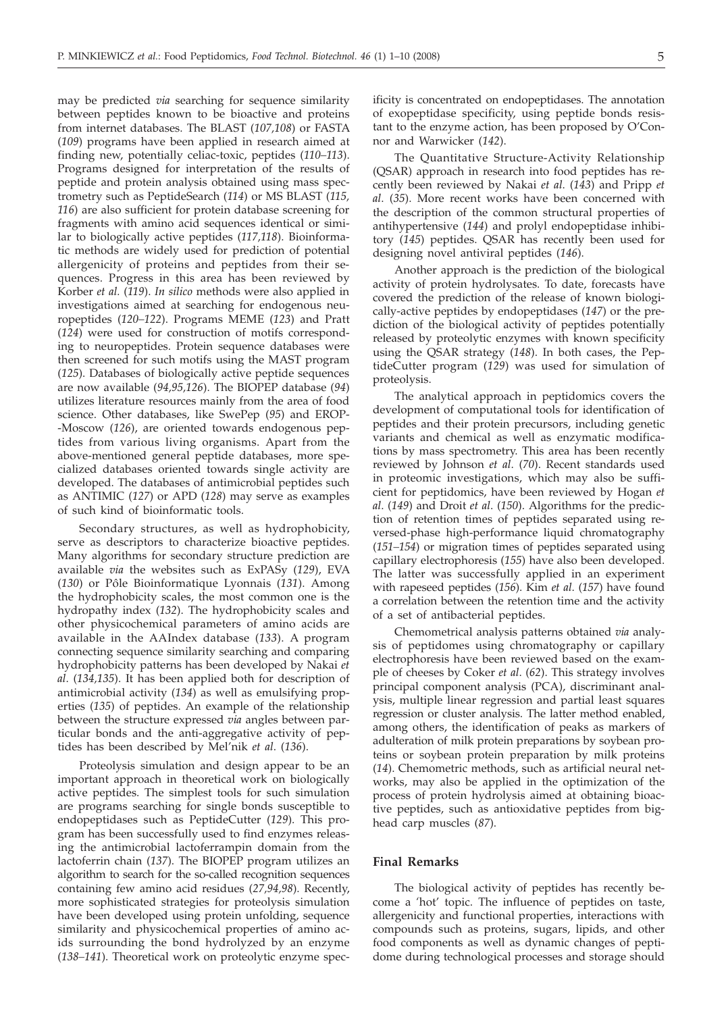may be predicted *via* searching for sequence similarity between peptides known to be bioactive and proteins from internet databases. The BLAST (*107,108*) or FASTA (*109*) programs have been applied in research aimed at finding new, potentially celiac-toxic, peptides (*110–113*). Programs designed for interpretation of the results of peptide and protein analysis obtained using mass spectrometry such as PeptideSearch (*114*) or MS BLAST (*115, 116*) are also sufficient for protein database screening for fragments with amino acid sequences identical or similar to biologically active peptides (*117,118*). Bioinformatic methods are widely used for prediction of potential allergenicity of proteins and peptides from their sequences. Progress in this area has been reviewed by Korber *et al.* (*119*). *In silico* methods were also applied in investigations aimed at searching for endogenous neuropeptides (*120–122*). Programs MEME (*123*) and Pratt (*124*) were used for construction of motifs corresponding to neuropeptides. Protein sequence databases were then screened for such motifs using the MAST program (*125*). Databases of biologically active peptide sequences are now available (*94,95,126*). The BIOPEP database (*94*) utilizes literature resources mainly from the area of food science. Other databases, like SwePep (*95*) and EROP- -Moscow (*126*), are oriented towards endogenous peptides from various living organisms. Apart from the above-mentioned general peptide databases, more specialized databases oriented towards single activity are developed. The databases of antimicrobial peptides such as ANTIMIC (*127*) or APD (*128*) may serve as examples of such kind of bioinformatic tools.

Secondary structures, as well as hydrophobicity, serve as descriptors to characterize bioactive peptides. Many algorithms for secondary structure prediction are available *via* the websites such as ExPASy (*129*), EVA (*130*) or Pôle Bioinformatique Lyonnais (*131*). Among the hydrophobicity scales, the most common one is the hydropathy index (*132*). The hydrophobicity scales and other physicochemical parameters of amino acids are available in the AAIndex database (*133*). A program connecting sequence similarity searching and comparing hydrophobicity patterns has been developed by Nakai *et al*. (*134,135*). It has been applied both for description of antimicrobial activity (*134*) as well as emulsifying properties (*135*) of peptides. An example of the relationship between the structure expressed *via* angles between particular bonds and the anti-aggregative activity of peptides has been described by Mel'nik *et al*. (*136*).

Proteolysis simulation and design appear to be an important approach in theoretical work on biologically active peptides. The simplest tools for such simulation are programs searching for single bonds susceptible to endopeptidases such as PeptideCutter (*129*). This program has been successfully used to find enzymes releasing the antimicrobial lactoferrampin domain from the lactoferrin chain (*137*). The BIOPEP program utilizes an algorithm to search for the so-called recognition sequences containing few amino acid residues (*27,94,98*). Recently, more sophisticated strategies for proteolysis simulation have been developed using protein unfolding, sequence similarity and physicochemical properties of amino acids surrounding the bond hydrolyzed by an enzyme (*138–141*). Theoretical work on proteolytic enzyme specificity is concentrated on endopeptidases. The annotation of exopeptidase specificity, using peptide bonds resistant to the enzyme action, has been proposed by O'Connor and Warwicker (*142*).

The Quantitative Structure-Activity Relationship (QSAR) approach in research into food peptides has recently been reviewed by Nakai *et al*. (*143*) and Pripp *et al*. (*35*). More recent works have been concerned with the description of the common structural properties of antihypertensive (*144*) and prolyl endopeptidase inhibitory (*145*) peptides. QSAR has recently been used for designing novel antiviral peptides (*146*).

Another approach is the prediction of the biological activity of protein hydrolysates. To date, forecasts have covered the prediction of the release of known biologically-active peptides by endopeptidases (*147*) or the prediction of the biological activity of peptides potentially released by proteolytic enzymes with known specificity using the QSAR strategy (*148*). In both cases, the PeptideCutter program (*129*) was used for simulation of proteolysis.

The analytical approach in peptidomics covers the development of computational tools for identification of peptides and their protein precursors, including genetic variants and chemical as well as enzymatic modifications by mass spectrometry. This area has been recently reviewed by Johnson *et al*. (*70*). Recent standards used in proteomic investigations, which may also be sufficient for peptidomics, have been reviewed by Hogan *et al*. (*149*) and Droit *et al*. (*150*). Algorithms for the prediction of retention times of peptides separated using reversed-phase high-performance liquid chromatography (*151–154*) or migration times of peptides separated using capillary electrophoresis (*155*) have also been developed. The latter was successfully applied in an experiment with rapeseed peptides (*156*). Kim *et al*. (*157*) have found a correlation between the retention time and the activity of a set of antibacterial peptides.

Chemometrical analysis patterns obtained *via* analysis of peptidomes using chromatography or capillary electrophoresis have been reviewed based on the example of cheeses by Coker *et al*. (*62*). This strategy involves principal component analysis (PCA), discriminant analysis, multiple linear regression and partial least squares regression or cluster analysis. The latter method enabled, among others, the identification of peaks as markers of adulteration of milk protein preparations by soybean proteins or soybean protein preparation by milk proteins (*14*). Chemometric methods, such as artificial neural networks, may also be applied in the optimization of the process of protein hydrolysis aimed at obtaining bioactive peptides, such as antioxidative peptides from bighead carp muscles (*87*).

### **Final Remarks**

The biological activity of peptides has recently become a 'hot' topic. The influence of peptides on taste, allergenicity and functional properties, interactions with compounds such as proteins, sugars, lipids, and other food components as well as dynamic changes of peptidome during technological processes and storage should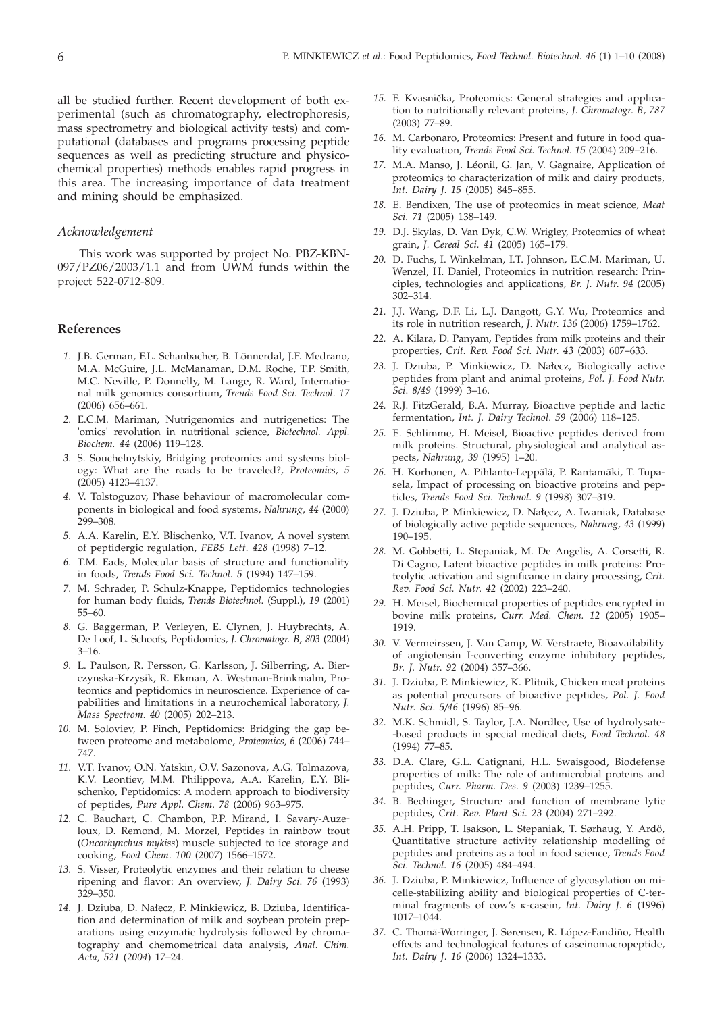all be studied further. Recent development of both experimental (such as chromatography, electrophoresis, mass spectrometry and biological activity tests) and computational (databases and programs processing peptide sequences as well as predicting structure and physicochemical properties) methods enables rapid progress in this area. The increasing importance of data treatment and mining should be emphasized.

#### *Acknowledgement*

This work was supported by project No. PBZ-KBN-097/PZ06/2003/1.1 and from UWM funds within the project 522-0712-809.

## **References**

- *1.* J.B. German, F.L. Schanbacher, B. Lönnerdal, J.F. Medrano, M.A. McGuire, J.L. McManaman, D.M. Roche, T.P. Smith, M.C. Neville, P. Donnelly, M. Lange, R. Ward, International milk genomics consortium, *Trends Food Sci. Technol*. *17* (2006) 656–661.
- *2.* E.C.M. Mariman, Nutrigenomics and nutrigenetics: The 'omics' revolution in nutritional science, *Biotechnol. Appl. Biochem. 44* (2006) 119–128.
- *3.* S. Souchelnytskiy, Bridging proteomics and systems biology: What are the roads to be traveled?, *Proteomics, 5* (2005) 4123–4137.
- *4.* V. Tolstoguzov, Phase behaviour of macromolecular components in biological and food systems, *Nahrung*, *44* (2000) 299–308.
- *5.* A.A. Karelin, E.Y. Blischenko, V.T. Ivanov, A novel system of peptidergic regulation, *FEBS Lett*. *428* (1998) 7–12.
- *6.* T.M. Eads, Molecular basis of structure and functionality in foods, *Trends Food Sci. Technol. 5* (1994) 147–159.
- *7.* M. Schrader, P. Schulz-Knappe, Peptidomics technologies for human body fluids, *Trends Biotechnol*. (Suppl.), *19* (2001) 55–60.
- *8.* G. Baggerman, P. Verleyen, E. Clynen, J. Huybrechts, A. De Loof, L. Schoofs, Peptidomics, *J. Chromatogr. B*, *803* (2004) 3–16.
- *9.* L. Paulson, R. Persson, G. Karlsson, J. Silberring, A. Bierczynska-Krzysik, R. Ekman, A. Westman-Brinkmalm, Proteomics and peptidomics in neuroscience. Experience of capabilities and limitations in a neurochemical laboratory, *J. Mass Spectrom*. *40* (2005) 202–213.
- *10.* M. Soloviev, P. Finch, Peptidomics: Bridging the gap between proteome and metabolome, *Proteomics*, *6* (2006) 744– 747.
- *11.* V.T. Ivanov, O.N. Yatskin, O.V. Sazonova, A.G. Tolmazova, K.V. Leontiev, M.M. Philippova, A.A. Karelin, E.Y. Blischenko, Peptidomics: A modern approach to biodiversity of peptides, *Pure Appl. Chem*. *78* (2006) 963–975.
- *12.* C. Bauchart, C. Chambon, P.P. Mirand, I. Savary-Auzeloux, D. Remond, M. Morzel, Peptides in rainbow trout (*Oncorhynchus mykiss*) muscle subjected to ice storage and cooking, *Food Chem*. *100* (2007) 1566–1572.
- *13.* S. Visser, Proteolytic enzymes and their relation to cheese ripening and flavor: An overview, *J. Dairy Sci*. *76* (1993) 329–350.
- 14. J. Dziuba, D. Nałęcz, P. Minkiewicz, B. Dziuba, Identification and determination of milk and soybean protein preparations using enzymatic hydrolysis followed by chromatography and chemometrical data analysis, *Anal. Chim. Acta, 521* (*2004*) 17–24.
- 15. F. Kvasnička, Proteomics: General strategies and application to nutritionally relevant proteins, *J. Chromatogr. B*, *787* (2003) 77–89.
- *16.* M. Carbonaro, Proteomics: Present and future in food quality evaluation, *Trends Food Sci. Technol. 15* (2004) 209–216.
- *17.* M.A. Manso, J. Léonil, G. Jan, V. Gagnaire, Application of proteomics to characterization of milk and dairy products, *Int. Dairy J*. *15* (2005) 845–855.
- *18.* E. Bendixen, The use of proteomics in meat science, *Meat Sci. 71* (2005) 138–149.
- *19.* D.J. Skylas, D. Van Dyk, C.W. Wrigley, Proteomics of wheat grain, *J. Cereal Sci. 41* (2005) 165–179.
- *20.* D. Fuchs, I. Winkelman, I.T. Johnson, E.C.M. Mariman, U. Wenzel, H. Daniel, Proteomics in nutrition research: Principles, technologies and applications, *Br. J. Nutr*. *94* (2005) 302–314.
- *21.* J.J. Wang, D.F. Li, L.J. Dangott, G.Y. Wu, Proteomics and its role in nutrition research, *J. Nutr*. *136* (2006) 1759–1762.
- *22.* A. Kilara, D. Panyam, Peptides from milk proteins and their properties, *Crit. Rev. Food Sci. Nutr. 43* (2003) 607–633.
- 23. J. Dziuba, P. Minkiewicz, D. Nałęcz, Biologically active peptides from plant and animal proteins, *Pol. J. Food Nutr. Sci*. *8/49* (1999) 3–16.
- *24.* R.J. FitzGerald, B.A. Murray, Bioactive peptide and lactic fermentation, *Int. J. Dairy Technol*. *59* (2006) 118–125.
- *25.* E. Schlimme, H. Meisel, Bioactive peptides derived from milk proteins. Structural, physiological and analytical aspects, *Nahrung*, *39* (1995) 1–20.
- *26.* H. Korhonen, A. Pihlanto-Leppälä, P. Rantamäki, T. Tupasela, Impact of processing on bioactive proteins and peptides, *Trends Food Sci. Technol*. *9* (1998) 307–319.
- 27. J. Dziuba, P. Minkiewicz, D. Nałęcz, A. Iwaniak, Database of biologically active peptide sequences, *Nahrung*, *43* (1999) 190–195.
- *28.* M. Gobbetti, L. Stepaniak, M. De Angelis, A. Corsetti, R. Di Cagno, Latent bioactive peptides in milk proteins: Proteolytic activation and significance in dairy processing, *Crit. Rev. Food Sci. Nutr*. *42* (2002) 223–240.
- *29.* H. Meisel, Biochemical properties of peptides encrypted in bovine milk proteins, *Curr. Med. Chem. 12* (2005) 1905– 1919.
- *30.* V. Vermeirssen, J. Van Camp, W. Verstraete, Bioavailability of angiotensin I-converting enzyme inhibitory peptides, *Br. J. Nutr*. *92* (2004) 357–366.
- *31.* J. Dziuba, P. Minkiewicz, K. Plitnik, Chicken meat proteins as potential precursors of bioactive peptides, *Pol. J. Food Nutr. Sci*. *5/46* (1996) 85–96.
- *32.* M.K. Schmidl, S. Taylor, J.A. Nordlee, Use of hydrolysate- -based products in special medical diets, *Food Technol*. *48* (1994) 77–85.
- *33.* D.A. Clare, G.L. Catignani, H.L. Swaisgood, Biodefense properties of milk: The role of antimicrobial proteins and peptides, *Curr. Pharm. Des. 9* (2003) 1239–1255.
- *34.* B. Bechinger, Structure and function of membrane lytic peptides, *Crit. Rev. Plant Sci*. *23* (2004) 271–292.
- *35.* A.H. Pripp, T. Isakson, L. Stepaniak, T. Sørhaug, Y. Ardö, Quantitative structure activity relationship modelling of peptides and proteins as a tool in food science, *Trends Food Sci. Technol*. *16* (2005) 484–494.
- *36.* J. Dziuba, P. Minkiewicz, Influence of glycosylation on micelle-stabilizing ability and biological properties of C-terminal fragments of cow's k-casein, *Int. Dairy J*. *6* (1996) 1017–1044.
- *37.* C. Thomä-Worringer, J. Sørensen, R. López-Fandiño, Health effects and technological features of caseinomacropeptide, *Int. Dairy J*. *16* (2006) 1324–1333.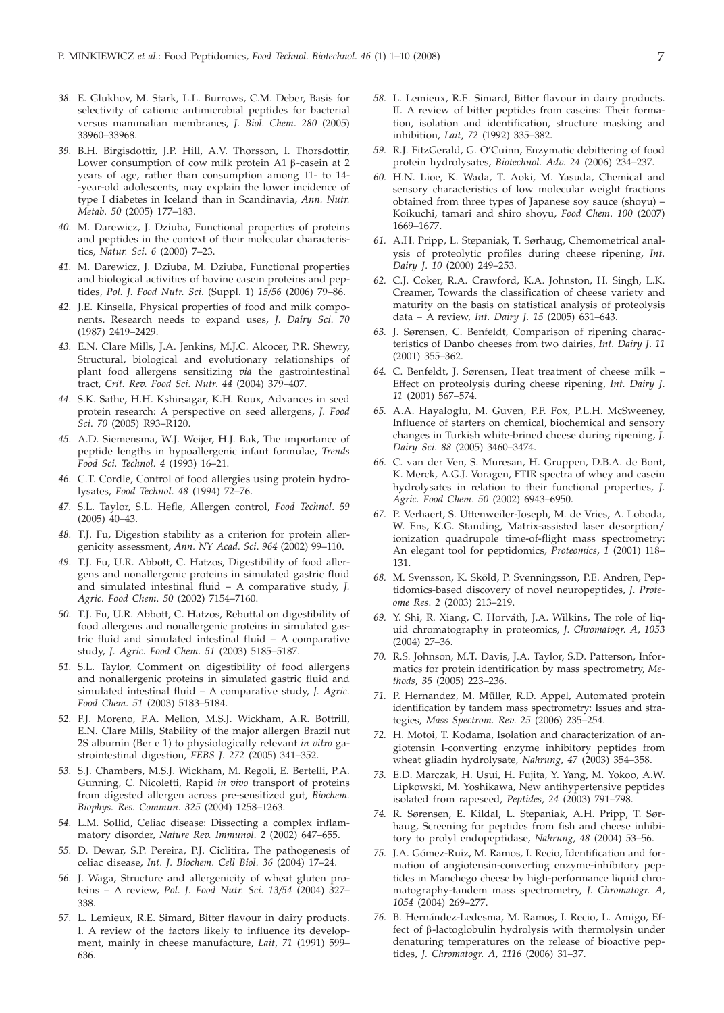- *38.* E. Glukhov, M. Stark, L.L. Burrows, C.M. Deber, Basis for selectivity of cationic antimicrobial peptides for bacterial versus mammalian membranes, *J. Biol. Chem*. *280* (2005) 33960–33968.
- *39.* B.H. Birgisdottir, J.P. Hill, A.V. Thorsson, I. Thorsdottir, Lower consumption of cow milk protein A1  $\beta$ -casein at 2 years of age, rather than consumption among 11- to 14- -year-old adolescents, may explain the lower incidence of type I diabetes in Iceland than in Scandinavia, *Ann. Nutr. Metab*. *50* (2005) 177–183.
- *40.* M. Darewicz, J. Dziuba, Functional properties of proteins and peptides in the context of their molecular characteristics, *Natur. Sci*. *6* (2000) 7–23.
- *41.* M. Darewicz, J. Dziuba, M. Dziuba, Functional properties and biological activities of bovine casein proteins and peptides, *Pol. J. Food Nutr. Sci*. (Suppl. 1) *15/56* (2006) 79–86.
- *42.* J.E. Kinsella, Physical properties of food and milk components. Research needs to expand uses, *J. Dairy Sci*. *70* (1987) 2419–2429.
- *43.* E.N. Clare Mills, J.A. Jenkins, M.J.C. Alcocer, P.R. Shewry, Structural, biological and evolutionary relationships of plant food allergens sensitizing *via* the gastrointestinal tract, *Crit. Rev. Food Sci. Nutr*. *44* (2004) 379–407.
- *44.* S.K. Sathe, H.H. Kshirsagar, K.H. Roux, Advances in seed protein research: A perspective on seed allergens, *J. Food Sci*. *70* (2005) R93–R120.
- *45.* A.D. Siemensma, W.J. Weijer, H.J. Bak, The importance of peptide lengths in hypoallergenic infant formulae, *Trends Food Sci. Technol*. *4* (1993) 16–21.
- *46.* C.T. Cordle, Control of food allergies using protein hydrolysates, *Food Technol*. *48* (1994) 72–76.
- *47.* S.L. Taylor, S.L. Hefle, Allergen control, *Food Technol*. *59* (2005) 40–43.
- *48.* T.J. Fu, Digestion stability as a criterion for protein allergenicity assessment, *Ann. NY Acad. Sci*. *964* (2002) 99–110.
- *49.* T.J. Fu, U.R. Abbott, C. Hatzos, Digestibility of food allergens and nonallergenic proteins in simulated gastric fluid and simulated intestinal fluid – A comparative study, *J. Agric. Food Chem*. *50* (2002) 7154–7160.
- *50.* T.J. Fu, U.R. Abbott, C. Hatzos, Rebuttal on digestibility of food allergens and nonallergenic proteins in simulated gastric fluid and simulated intestinal fluid – A comparative study, *J. Agric. Food Chem*. *51* (2003) 5185–5187.
- *51.* S.L. Taylor, Comment on digestibility of food allergens and nonallergenic proteins in simulated gastric fluid and simulated intestinal fluid – A comparative study, *J. Agric. Food Chem. 51* (2003) 5183–5184.
- *52.* F.J. Moreno, F.A. Mellon, M.S.J. Wickham, A.R. Bottrill, E.N. Clare Mills, Stability of the major allergen Brazil nut 2S albumin (Ber e 1) to physiologically relevant *in vitro* gastrointestinal digestion, *FEBS J*. *272* (2005) 341–352.
- *53.* S.J. Chambers, M.S.J. Wickham, M. Regoli, E. Bertelli, P.A. Gunning, C. Nicoletti, Rapid *in vivo* transport of proteins from digested allergen across pre-sensitized gut, *Biochem. Biophys. Res. Commun*. *325* (2004) 1258–1263.
- *54.* L.M. Sollid, Celiac disease: Dissecting a complex inflammatory disorder, *Nature Rev. Immunol*. *2* (2002) 647–655.
- *55.* D. Dewar, S.P. Pereira, P.J. Ciclitira, The pathogenesis of celiac disease, *Int. J. Biochem. Cell Biol*. *36* (2004) 17–24.
- *56.* J. Waga, Structure and allergenicity of wheat gluten proteins – A review, *Pol. J. Food Nutr. Sci*. *13/54* (2004) 327– 338.
- *57.* L. Lemieux, R.E. Simard, Bitter flavour in dairy products. I. A review of the factors likely to influence its development, mainly in cheese manufacture, *Lait*, *71* (1991) 599– 636.
- *58.* L. Lemieux, R.E. Simard, Bitter flavour in dairy products. II. A review of bitter peptides from caseins: Their formation, isolation and identification, structure masking and inhibition, *Lait*, *72* (1992) 335–382.
- *59.* R.J. FitzGerald, G. O'Cuinn, Enzymatic debittering of food protein hydrolysates, *Biotechnol. Adv*. *24* (2006) 234–237.
- *60.* H.N. Lioe, K. Wada, T. Aoki, M. Yasuda, Chemical and sensory characteristics of low molecular weight fractions obtained from three types of Japanese soy sauce (shoyu) – Koikuchi, tamari and shiro shoyu, *Food Chem*. *100* (2007) 1669–1677.
- *61.* A.H. Pripp, L. Stepaniak, T. Sørhaug, Chemometrical analysis of proteolytic profiles during cheese ripening, *Int. Dairy J*. *10* (2000) 249–253.
- *62.* C.J. Coker, R.A. Crawford, K.A. Johnston, H. Singh, L.K. Creamer, Towards the classification of cheese variety and maturity on the basis on statistical analysis of proteolysis data – A review, *Int. Dairy J*. *15* (2005) 631–643.
- *63.* J. Sørensen, C. Benfeldt, Comparison of ripening characteristics of Danbo cheeses from two dairies, *Int. Dairy J*. *11* (2001) 355–362.
- *64.* C. Benfeldt, J. Sørensen, Heat treatment of cheese milk Effect on proteolysis during cheese ripening, *Int. Dairy J*. *11* (2001) 567–574.
- *65.* A.A. Hayaloglu, M. Guven, P.F. Fox, P.L.H. McSweeney, Influence of starters on chemical, biochemical and sensory changes in Turkish white-brined cheese during ripening, *J. Dairy Sci*. *88* (2005) 3460–3474.
- *66.* C. van der Ven, S. Muresan, H. Gruppen, D.B.A. de Bont, K. Merck, A.G.J. Voragen, FTIR spectra of whey and casein hydrolysates in relation to their functional properties, *J. Agric. Food Chem*. *50* (2002) 6943–6950.
- *67.* P. Verhaert, S. Uttenweiler-Joseph, M. de Vries, A. Loboda, W. Ens, K.G. Standing, Matrix-assisted laser desorption/ ionization quadrupole time-of-flight mass spectrometry: An elegant tool for peptidomics, *Proteomics*, *1* (2001) 118– 131.
- *68.* M. Svensson, K. Sköld, P. Svenningsson, P.E. Andren, Peptidomics-based discovery of novel neuropeptides, *J. Proteome Res*. *2* (2003) 213–219.
- *69.* Y. Shi, R. Xiang, C. Horváth, J.A. Wilkins, The role of liquid chromatography in proteomics, *J. Chromatogr. A*, *1053* (2004) 27–36.
- *70.* R.S. Johnson, M.T. Davis, J.A. Taylor, S.D. Patterson, Informatics for protein identification by mass spectrometry, *Methods*, *35* (2005) 223–236.
- *71.* P. Hernandez, M. Müller, R.D. Appel, Automated protein identification by tandem mass spectrometry: Issues and strategies, *Mass Spectrom. Rev*. *25* (2006) 235–254.
- *72.* H. Motoi, T. Kodama, Isolation and characterization of angiotensin I-converting enzyme inhibitory peptides from wheat gliadin hydrolysate, *Nahrung*, *47* (2003) 354–358.
- *73.* E.D. Marczak, H. Usui, H. Fujita, Y. Yang, M. Yokoo, A.W. Lipkowski, M. Yoshikawa, New antihypertensive peptides isolated from rapeseed, *Peptides*, *24* (2003) 791–798.
- *74.* R. Sørensen, E. Kildal, L. Stepaniak, A.H. Pripp, T. Sørhaug, Screening for peptides from fish and cheese inhibitory to prolyl endopeptidase, *Nahrung*, *48* (2004) 53–56.
- *75.* J.A. Gómez-Ruiz, M. Ramos, I. Recio, Identification and formation of angiotensin-converting enzyme-inhibitory peptides in Manchego cheese by high-performance liquid chromatography-tandem mass spectrometry, *J. Chromatogr. A*, *1054* (2004) 269–277.
- *76.* B. Hernández-Ledesma, M. Ramos, I. Recio, L. Amigo, Effect of b-lactoglobulin hydrolysis with thermolysin under denaturing temperatures on the release of bioactive peptides, *J. Chromatogr. A*, *1116* (2006) 31–37.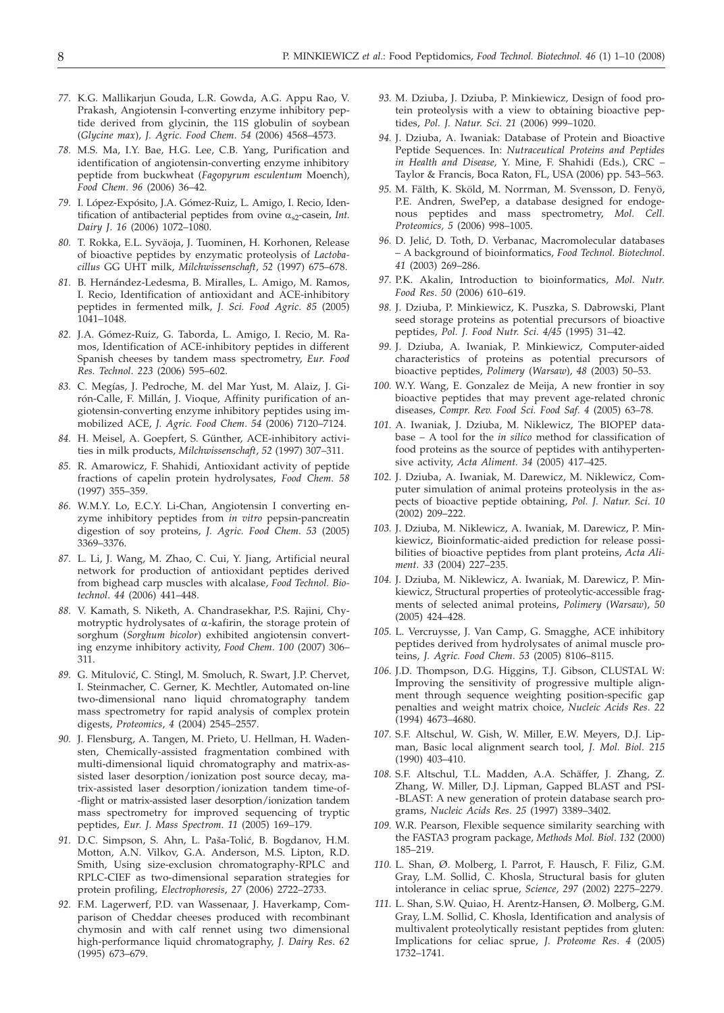- *77.* K.G. Mallikarjun Gouda, L.R. Gowda, A.G. Appu Rao, V. Prakash, Angiotensin I-converting enzyme inhibitory peptide derived from glycinin, the 11S globulin of soybean (*Glycine max*), *J. Agric. Food Chem*. *54* (2006) 4568–4573.
- *78.* M.S. Ma, I.Y. Bae, H.G. Lee, C.B. Yang, Purification and identification of angiotensin-converting enzyme inhibitory peptide from buckwheat (*Fagopyrum esculentum* Moench), *Food Chem*. *96* (2006) 36–42.
- *79.* I. López-Expósito, J.A. Gómez-Ruiz, L. Amigo, I. Recio, Identification of antibacterial peptides from ovine  $\alpha_{s2}$ -casein, *Int. Dairy J*. *16* (2006) 1072–1080.
- *80.* T. Rokka, E.L. Syväoja, J. Tuominen, H. Korhonen, Release of bioactive peptides by enzymatic proteolysis of *Lactobacillus* GG UHT milk, *Milchwissenschaft*, *52* (1997) 675–678.
- *81.* B. Hernández-Ledesma, B. Miralles, L. Amigo, M. Ramos, I. Recio, Identification of antioxidant and ACE-inhibitory peptides in fermented milk, *J. Sci. Food Agric*. *85* (2005) 1041–1048.
- *82.* J.A. Gómez-Ruiz, G. Taborda, L. Amigo, I. Recio, M. Ramos, Identification of ACE-inhibitory peptides in different Spanish cheeses by tandem mass spectrometry, *Eur. Food Res. Technol*. *223* (2006) 595–602.
- *83.* C. Megías, J. Pedroche, M. del Mar Yust, M. Alaiz, J. Girón-Calle, F. Millán, J. Vioque, Affinity purification of angiotensin-converting enzyme inhibitory peptides using immobilized ACE, *J. Agric. Food Chem*. *54* (2006) 7120–7124.
- *84.* H. Meisel, A. Goepfert, S. Günther, ACE-inhibitory activities in milk products, *Milchwissenschaft*, *52* (1997) 307–311.
- *85.* R. Amarowicz, F. Shahidi, Antioxidant activity of peptide fractions of capelin protein hydrolysates, *Food Chem*. *58* (1997) 355–359.
- *86.* W.M.Y. Lo, E.C.Y. Li-Chan, Angiotensin I converting enzyme inhibitory peptides from *in vitro* pepsin-pancreatin digestion of soy proteins, *J. Agric. Food Chem*. *53* (2005) 3369–3376.
- *87.* L. Li, J. Wang, M. Zhao, C. Cui, Y. Jiang, Artificial neural network for production of antioxidant peptides derived from bighead carp muscles with alcalase, *Food Technol. Biotechnol*. *44* (2006) 441–448.
- *88.* V. Kamath, S. Niketh, A. Chandrasekhar, P.S. Rajini, Chymotryptic hydrolysates of  $\alpha$ -kafirin, the storage protein of sorghum (*Sorghum bicolor*) exhibited angiotensin converting enzyme inhibitory activity, *Food Chem*. *100* (2007) 306– 311.
- 89. G. Mitulović, C. Stingl, M. Smoluch, R. Swart, J.P. Chervet, I. Steinmacher, C. Gerner, K. Mechtler, Automated on-line two-dimensional nano liquid chromatography tandem mass spectrometry for rapid analysis of complex protein digests, *Proteomics*, *4* (2004) 2545–2557.
- *90.* J. Flensburg, A. Tangen, M. Prieto, U. Hellman, H. Wadensten, Chemically-assisted fragmentation combined with multi-dimensional liquid chromatography and matrix-assisted laser desorption/ionization post source decay, matrix-assisted laser desorption/ionization tandem time-of- -flight or matrix-assisted laser desorption/ionization tandem mass spectrometry for improved sequencing of tryptic peptides, *Eur. J. Mass Spectrom*. *11* (2005) 169–179.
- 91. D.C. Simpson, S. Ahn, L. Paša-Tolić, B. Bogdanov, H.M. Motton, A.N. Vilkov, G.A. Anderson, M.S. Lipton, R.D. Smith, Using size-exclusion chromatography-RPLC and RPLC-CIEF as two-dimensional separation strategies for protein profiling, *Electrophoresis*, *27* (2006) 2722–2733.
- *92.* F.M. Lagerwerf, P.D. van Wassenaar, J. Haverkamp, Comparison of Cheddar cheeses produced with recombinant chymosin and with calf rennet using two dimensional high-performance liquid chromatography, *J. Dairy Res*. *62* (1995) 673–679.
- *93.* M. Dziuba, J. Dziuba, P. Minkiewicz, Design of food protein proteolysis with a view to obtaining bioactive peptides, *Pol. J. Natur. Sci*. *21* (2006) 999–1020.
- *94.* J. Dziuba, A. Iwaniak: Database of Protein and Bioactive Peptide Sequences. In: *Nutraceutical Proteins and Peptides in Health and Disease,* Y. Mine, F. Shahidi (Eds.), CRC – Taylor & Francis, Boca Raton, FL, USA (2006) pp. 543–563.
- *95.* M. Fälth, K. Sköld, M. Norrman, M. Svensson, D. Fenyö, P.E. Andren, SwePep, a database designed for endogenous peptides and mass spectrometry, *Mol. Cell. Proteomics, 5* (2006) 998–1005.
- 96. D. Jelić, D. Toth, D. Verbanac, Macromolecular databases – A background of bioinformatics, *Food Technol. Biotechnol*. *41* (2003) 269–286.
- *97.* P.K. Akalin, Introduction to bioinformatics, *Mol. Nutr. Food Res*. *50* (2006) 610–619.
- 98. J. Dziuba, P. Minkiewicz, K. Puszka, S. Dabrowski, Plant seed storage proteins as potential precursors of bioactive peptides, *Pol. J. Food Nutr. Sci*. *4/45* (1995) 31–42.
- *99.* J. Dziuba, A. Iwaniak, P. Minkiewicz, Computer-aided characteristics of proteins as potential precursors of bioactive peptides, *Polimery* (*Warsaw*), *48* (2003) 50–53.
- *100.* W.Y. Wang, E. Gonzalez de Meija, A new frontier in soy bioactive peptides that may prevent age-related chronic diseases, *Compr. Rev. Food Sci. Food Saf*. *4* (2005) 63–78.
- *101.* A. Iwaniak, J. Dziuba, M. Niklewicz, The BIOPEP database – A tool for the *in silico* method for classification of food proteins as the source of peptides with antihypertensive activity, *Acta Aliment. 34* (2005) 417–425.
- *102.* J. Dziuba, A. Iwaniak, M. Darewicz, M. Niklewicz, Computer simulation of animal proteins proteolysis in the aspects of bioactive peptide obtaining, *Pol. J. Natur. Sci*. *10* (2002) 209–222.
- *103.* J. Dziuba, M. Niklewicz, A. Iwaniak, M. Darewicz, P. Minkiewicz, Bioinformatic-aided prediction for release possibilities of bioactive peptides from plant proteins, *Acta Aliment. 33* (2004) 227–235.
- *104.* J. Dziuba, M. Niklewicz, A. Iwaniak, M. Darewicz, P. Minkiewicz, Structural properties of proteolytic-accessible fragments of selected animal proteins, *Polimery* (*Warsaw*), *50* (2005) 424–428.
- *105.* L. Vercruysse, J. Van Camp, G. Smagghe, ACE inhibitory peptides derived from hydrolysates of animal muscle proteins, *J. Agric. Food Chem*. *53* (2005) 8106–8115.
- *106.* J.D. Thompson, D.G. Higgins, T.J. Gibson, CLUSTAL W: Improving the sensitivity of progressive multiple alignment through sequence weighting position-specific gap penalties and weight matrix choice, *Nucleic Acids Res*. *22* (1994) 4673–4680.
- *107.* S.F. Altschul, W. Gish, W. Miller, E.W. Meyers, D.J. Lipman, Basic local alignment search tool, *J. Mol. Biol*. *215* (1990) 403–410.
- *108.* S.F. Altschul, T.L. Madden, A.A. Schäffer, J. Zhang, Z. Zhang, W. Miller, D.J. Lipman, Gapped BLAST and PSI- -BLAST: A new generation of protein database search programs, *Nucleic Acids Res*. *25* (1997) 3389–3402.
- *109.* W.R. Pearson, Flexible sequence similarity searching with the FASTA3 program package, *Methods Mol. Biol*. *132* (2000) 185–219.
- *110.* L. Shan, Ø. Molberg, I. Parrot, F. Hausch, F. Filiz, G.M. Gray, L.M. Sollid, C. Khosla, Structural basis for gluten intolerance in celiac sprue, *Science*, *297* (2002) 2275–2279.
- *111.* L. Shan, S.W. Quiao, H. Arentz-Hansen, Ø. Molberg, G.M. Gray, L.M. Sollid, C. Khosla, Identification and analysis of multivalent proteolytically resistant peptides from gluten: Implications for celiac sprue, *J. Proteome Res*. *4* (2005) 1732–1741.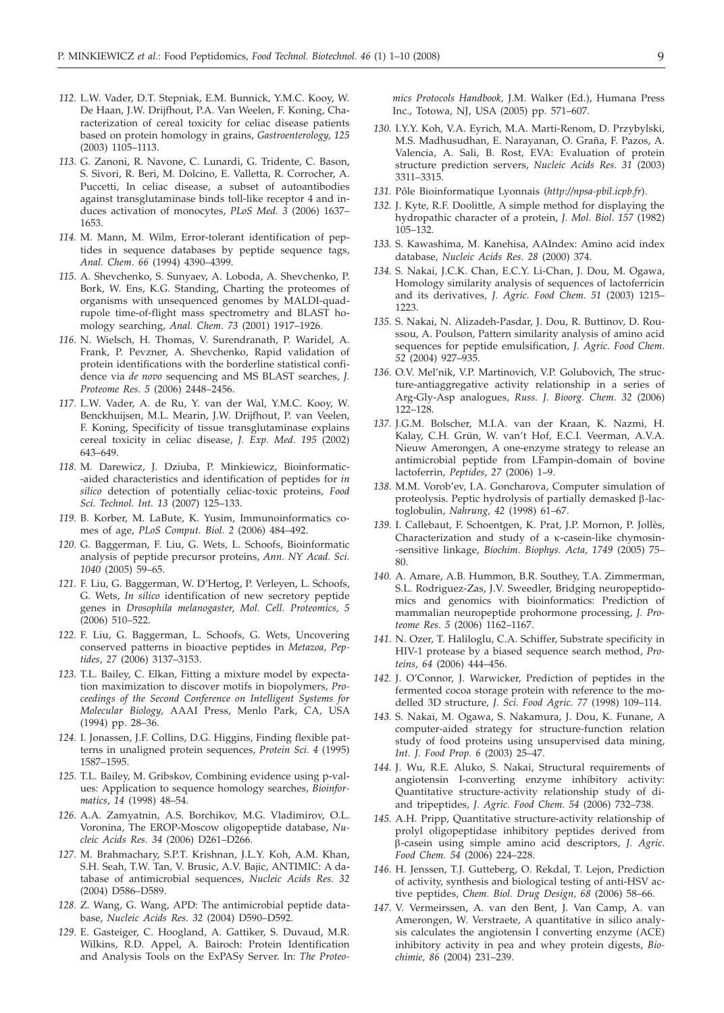- *112.* L.W. Vader, D.T. Stepniak, E.M. Bunnick, Y.M.C. Kooy, W. De Haan, J.W. Drijfhout, P.A. Van Weelen, F. Koning, Characterization of cereal toxicity for celiac disease patients based on protein homology in grains, *Gastroenterology*, *125* (2003) 1105–1113.
- *113.* G. Zanoni, R. Navone, C. Lunardi, G. Tridente, C. Bason, S. Sivori, R. Beri, M. Dolcino, E. Valletta, R. Corrocher, A. Puccetti, In celiac disease, a subset of autoantibodies against transglutaminase binds toll-like receptor 4 and induces activation of monocytes, *PLoS Med. 3* (2006) 1637– 1653.
- *114.* M. Mann, M. Wilm, Error-tolerant identification of peptides in sequence databases by peptide sequence tags, *Anal. Chem*. *66* (1994) 4390–4399.
- *115.* A. Shevchenko, S. Sunyaev, A. Loboda, A. Shevchenko, P. Bork, W. Ens, K.G. Standing, Charting the proteomes of organisms with unsequenced genomes by MALDI-quadrupole time-of-flight mass spectrometry and BLAST homology searching, *Anal. Chem*. *73* (2001) 1917–1926.
- *116.* N. Wielsch, H. Thomas, V. Surendranath, P. Waridel, A. Frank, P. Pevzner, A. Shevchenko, Rapid validation of protein identifications with the borderline statistical confidence via *de novo* sequencing and MS BLAST searches, *J. Proteome Res*. *5* (2006) 2448–2456.
- *117.* L.W. Vader, A. de Ru, Y. van der Wal, Y.M.C. Kooy, W. Benckhuijsen, M.L. Mearin, J.W. Drijfhout, P. van Veelen, F. Koning, Specificity of tissue transglutaminase explains cereal toxicity in celiac disease, *J. Exp. Med*. *195* (2002) 643–649.
- *118.* M. Darewicz, J. Dziuba, P. Minkiewicz, Bioinformatic- -aided characteristics and identification of peptides for *in silico* detection of potentially celiac-toxic proteins, *Food Sci. Technol. Int. 13* (2007) 125–133.
- *119.* B. Korber, M. LaBute, K. Yusim, Immunoinformatics comes of age, *PLoS Comput. Biol. 2* (2006) 484–492.
- *120.* G. Baggerman, F. Liu, G. Wets, L. Schoofs, Bioinformatic analysis of peptide precursor proteins, *Ann. NY Acad. Sci. 1040* (2005) 59–65.
- *121.* F. Liu, G. Baggerman, W. D'Hertog, P. Verleyen, L. Schoofs, G. Wets, *In silico* identification of new secretory peptide genes in *Drosophila melanogaster*, *Mol. Cell. Proteomics, 5* (2006) 510–522.
- *122.* F. Liu, G. Baggerman, L. Schoofs, G. Wets, Uncovering conserved patterns in bioactive peptides in *Metazoa*, *Peptides*, *27* (2006) 3137–3153.
- *123.* T.L. Bailey, C. Elkan, Fitting a mixture model by expectation maximization to discover motifs in biopolymers, *Proceedings of the Second Conference on Intelligent Systems for Molecular Biology*, AAAI Press, Menlo Park, CA, USA (1994) pp. 28–36.
- *124.* I. Jonassen, J.F. Collins, D.G. Higgins, Finding flexible patterns in unaligned protein sequences, *Protein Sci. 4* (1995) 1587–1595.
- *125.* T.L. Bailey, M. Gribskov, Combining evidence using p-values: Application to sequence homology searches, *Bioinformatics*, *14* (1998) 48–54.
- *126.* A.A. Zamyatnin, A.S. Borchikov, M.G. Vladimirov, O.L. Voronina, The EROP-Moscow oligopeptide database, *Nucleic Acids Res. 34* (2006) D261–D266.
- *127.* M. Brahmachary, S.P.T. Krishnan, J.L.Y. Koh, A.M. Khan, S.H. Seah, T.W. Tan, V. Brusic, A.V. Bajic, ANTIMIC: A database of antimicrobial sequences, *Nucleic Acids Res. 32* (2004) D586–D589.
- *128.* Z. Wang, G. Wang, APD: The antimicrobial peptide database, *Nucleic Acids Res. 32* (2004) D590–D592.
- *129.* E. Gasteiger, C. Hoogland, A. Gattiker, S. Duvaud, M.R. Wilkins, R.D. Appel, A. Bairoch: Protein Identification and Analysis Tools on the ExPASy Server. In: *The Proteo-*

*mics Protocols Handbook,* J.M. Walker (Ed.), Humana Press Inc., Totowa, NJ, USA (2005) pp. 571–607.

- *130.* I.Y.Y. Koh, V.A. Eyrich, M.A. Marti-Renom, D. Przybylski, M.S. Madhusudhan, E. Narayanan, O. Graña, F. Pazos, A. Valencia, A. Sali, B. Rost, EVA: Evaluation of protein structure prediction servers, *Nucleic Acids Res*. *31* (2003) 3311–3315.
- *131.* Pôle Bioinformatique Lyonnais (*http://npsa-pbil.icpb.fr*).
- *132.* J. Kyte, R.F. Doolittle, A simple method for displaying the hydropathic character of a protein, *J. Mol. Biol*. *157* (1982) 105–132.
- *133.* S. Kawashima, M. Kanehisa, AAIndex: Amino acid index database, *Nucleic Acids Res*. *28* (2000) 374.
- *134.* S. Nakai, J.C.K. Chan, E.C.Y. Li-Chan, J. Dou, M. Ogawa, Homology similarity analysis of sequences of lactoferricin and its derivatives, *J. Agric. Food Chem*. *51* (2003) 1215– 1223.
- *135.* S. Nakai, N. Alizadeh-Pasdar, J. Dou, R. Buttinov, D. Roussou, A. Poulson, Pattern similarity analysis of amino acid sequences for peptide emulsification, *J. Agric. Food Chem*. *52* (2004) 927–935.
- *136.* O.V. Mel'nik, V.P. Martinovich, V.P. Golubovich, The structure-antiaggregative activity relationship in a series of Arg-Gly-Asp analogues, *Russ. J. Bioorg. Chem*. *32* (2006) 122–128.
- *137.* J.G.M. Bolscher, M.I.A. van der Kraan, K. Nazmi, H. Kalay, C.H. Grün, W. van't Hof, E.C.I. Veerman, A.V.A. Nieuw Amerongen, A one-enzyme strategy to release an antimicrobial peptide from LFampin-domain of bovine lactoferrin, *Peptides*, *27* (2006) 1–9.
- *138.* M.M. Vorob'ev, I.A. Goncharova, Computer simulation of proteolysis. Peptic hydrolysis of partially demasked  $\beta$ -lactoglobulin, *Nahrung, 42* (1998) 61–67.
- *139.* I. Callebaut, F. Schoentgen, K. Prat, J.P. Mornon, P. Jollès, Characterization and study of a k-casein-like chymosin- -sensitive linkage, *Biochim. Biophys. Acta, 1749* (2005) 75– 80.
- *140.* A. Amare, A.B. Hummon, B.R. Southey, T.A. Zimmerman, S.L. Rodriguez-Zas, J.V. Sweedler, Bridging neuropeptidomics and genomics with bioinformatics: Prediction of mammalian neuropeptide prohormone processing, *J. Proteome Res. 5* (2006) 1162–1167.
- *141.* N. Ozer, T. Haliloglu, C.A. Schiffer, Substrate specificity in HIV-1 protease by a biased sequence search method, *Proteins, 64* (2006) 444–456.
- *142.* J. O'Connor, J. Warwicker, Prediction of peptides in the fermented cocoa storage protein with reference to the modelled 3D structure, *J. Sci. Food Agric. 77* (1998) 109–114.
- *143.* S. Nakai, M. Ogawa, S. Nakamura, J. Dou, K. Funane, A computer-aided strategy for structure-function relation study of food proteins using unsupervised data mining, *Int. J. Food Prop. 6* (2003) 25–47.
- *144.* J. Wu, R.E. Aluko, S. Nakai, Structural requirements of angiotensin I-converting enzyme inhibitory activity: Quantitative structure-activity relationship study of diand tripeptides, *J. Agric. Food Chem. 54* (2006) 732–738.
- *145.* A.H. Pripp, Quantitative structure-activity relationship of prolyl oligopeptidase inhibitory peptides derived from b-casein using simple amino acid descriptors, *J. Agric. Food Chem. 54* (2006) 224–228.
- *146.* H. Jenssen, T.J. Gutteberg, O. Rekdal, T. Lejon, Prediction of activity, synthesis and biological testing of anti-HSV active peptides, *Chem. Biol. Drug Design, 68* (2006) 58–66.
- *147.* V. Vermeirssen, A. van den Bent, J. Van Camp, A. van Amerongen, W. Verstraete, A quantitative in silico analysis calculates the angiotensin I converting enzyme (ACE) inhibitory activity in pea and whey protein digests, *Biochimie, 86* (2004) 231–239.